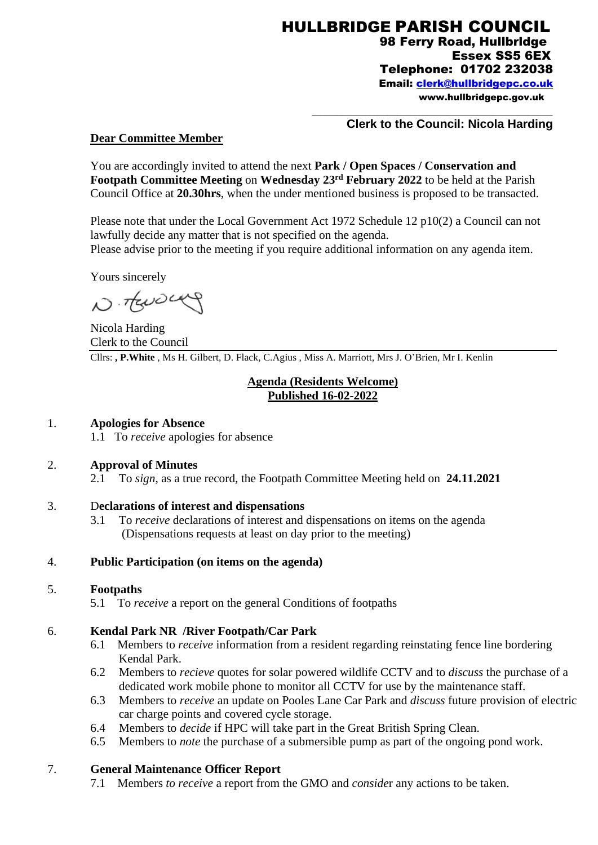## **Clerk to the Council: Nicola Harding**

\_\_\_\_\_\_\_\_\_\_\_\_\_\_\_\_\_\_\_\_\_\_\_\_\_\_\_\_\_\_\_\_\_\_\_\_\_\_\_\_\_\_\_\_\_\_\_\_

#### **Dear Committee Member**

You are accordingly invited to attend the next **Park / Open Spaces / Conservation and Footpath Committee Meeting** on **Wednesday 23rd February 2022** to be held at the Parish Council Office at **20.30hrs**, when the under mentioned business is proposed to be transacted.

Please note that under the Local Government Act 1972 Schedule 12 p10(2) a Council can not lawfully decide any matter that is not specified on the agenda. Please advise prior to the meeting if you require additional information on any agenda item.

Yours sincerely

N. TENDENY

Nicola Harding Clerk to the Council Cllrs: **, P.White** , Ms H. Gilbert, D. Flack, C.Agius , Miss A. Marriott, Mrs J. O'Brien, Mr I. Kenlin

## **Agenda (Residents Welcome) Published 16-02-2022**

## 1. **Apologies for Absence**

1.1 To *receive* apologies for absence

#### 2. **Approval of Minutes**

2.1 To *sign*, as a true record, the Footpath Committee Meeting held on **24.11.2021**

#### 3. D**eclarations of interest and dispensations**

3.1 To *receive* declarations of interest and dispensations on items on the agenda (Dispensations requests at least on day prior to the meeting)

#### 4. **Public Participation (on items on the agenda)**

## 5. **Footpaths**

5.1 To *receive* a report on the general Conditions of footpaths

## 6. **Kendal Park NR /River Footpath/Car Park**

- 6.1 Members to *receive* information from a resident regarding reinstating fence line bordering Kendal Park.
- 6.2 Members to *recieve* quotes for solar powered wildlife CCTV and to *discuss* the purchase of a dedicated work mobile phone to monitor all CCTV for use by the maintenance staff.
- 6.3 Members to *receive* an update on Pooles Lane Car Park and *discuss* future provision of electric car charge points and covered cycle storage.
- 6.4 Members to *decide* if HPC will take part in the Great British Spring Clean.
- 6.5 Members to *note* the purchase of a submersible pump as part of the ongoing pond work.

## 7. **General Maintenance Officer Report**

7.1 Members *to receive* a report from the GMO and *conside*r any actions to be taken.